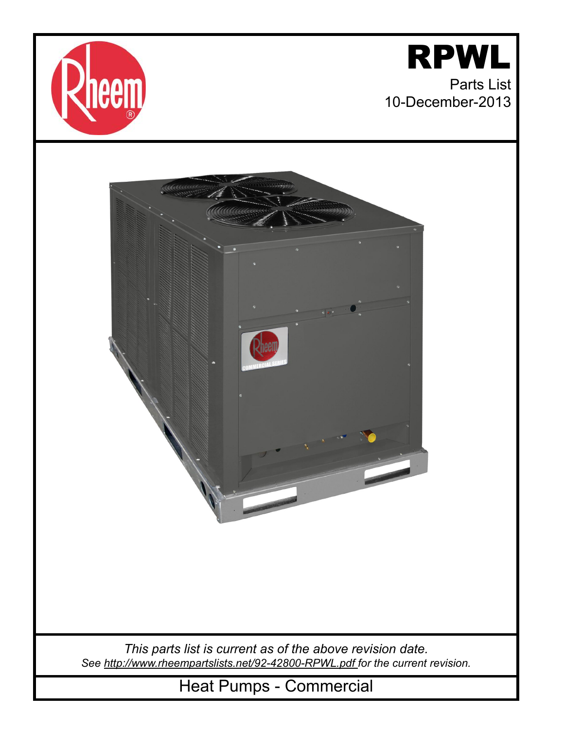



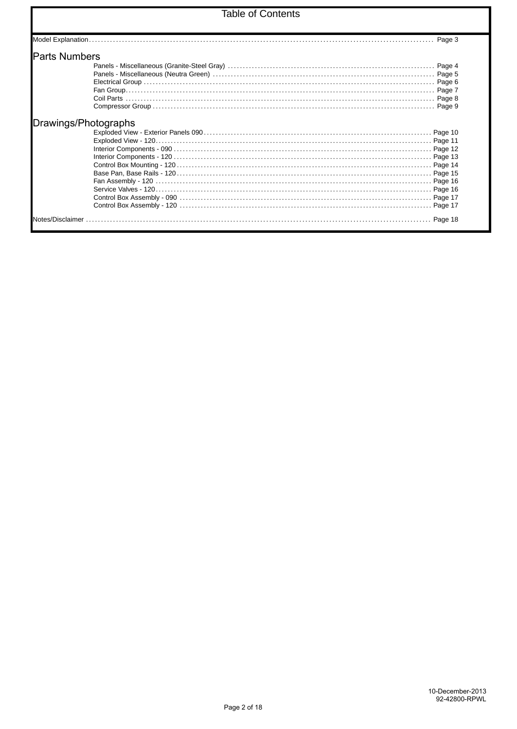## **Table of Contents**

| <b>Parts Numbers</b> |           |
|----------------------|-----------|
|                      | Page 4    |
|                      |           |
|                      |           |
|                      |           |
|                      |           |
|                      |           |
|                      |           |
|                      |           |
|                      |           |
|                      |           |
|                      |           |
|                      |           |
|                      |           |
|                      |           |
|                      |           |
|                      | . Page 17 |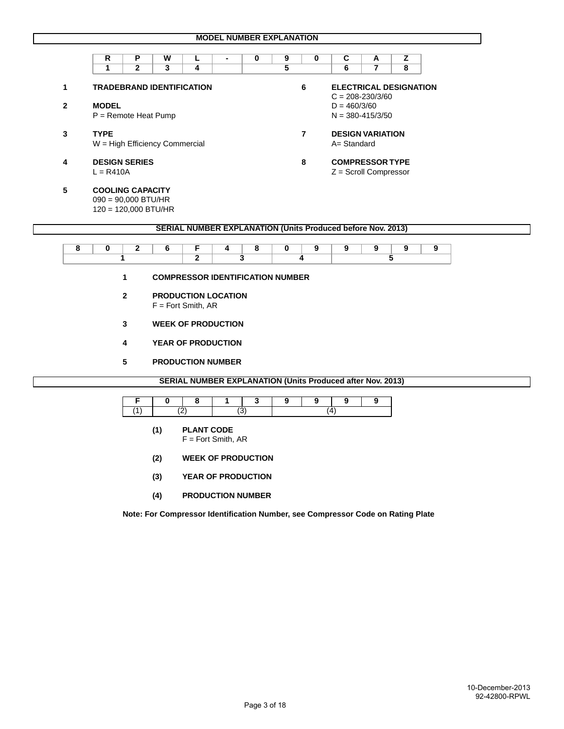|              | R                                | P            | W |   | ٠ | 0 | 9 | 0 | C                                                                  | A                             | z |
|--------------|----------------------------------|--------------|---|---|---|---|---|---|--------------------------------------------------------------------|-------------------------------|---|
|              | 1                                | $\mathbf{2}$ | 3 | 4 |   |   | 5 |   | 6                                                                  |                               | 8 |
|              | <b>TRADEBRAND IDENTIFICATION</b> |              |   |   |   |   |   | 6 |                                                                    | <b>ELECTRICAL DESIGNATION</b> |   |
|              |                                  |              |   |   |   |   |   |   |                                                                    | $C = 208 - 230/3/60$          |   |
| $\mathbf{2}$ | <b>MODEL</b>                     |              |   |   |   |   |   |   | $D = 460/3/60$                                                     |                               |   |
|              | $P =$ Remote Heat Pump           |              |   |   |   |   |   |   |                                                                    | $N = 380 - 415/3/50$          |   |
| 3            | <b>TYPE</b>                      |              |   |   |   |   |   | 7 |                                                                    | <b>DESIGN VARIATION</b>       |   |
|              | $W = High Efficiency$ Commercial |              |   |   |   |   |   |   | A= Standard                                                        |                               |   |
| 4            | <b>DESIGN SERIES</b>             |              |   |   |   |   |   | 8 |                                                                    | <b>COMPRESSOR TYPE</b>        |   |
|              | $L = R410A$                      |              |   |   |   |   |   |   | $Z =$ Scroll Compressor                                            |                               |   |
| 5            | <b>COOLING CAPACITY</b>          |              |   |   |   |   |   |   |                                                                    |                               |   |
|              | $090 = 90,000$ BTU/HR            |              |   |   |   |   |   |   |                                                                    |                               |   |
|              | $120 = 120,000$ BTU/HR           |              |   |   |   |   |   |   |                                                                    |                               |   |
|              |                                  |              |   |   |   |   |   |   | <b>SERIAL NUMBER EXPLANATION (Units Produced before Nov. 2013)</b> |                               |   |

- **1 COMPRESSOR IDENTIFICATION NUMBER**
- **2 PRODUCTION LOCATION** F = Fort Smith, AR
- **3 WEEK OF PRODUCTION**
- **4 YEAR OF PRODUCTION**
- **5 PRODUCTION NUMBER**

**SERIAL NUMBER EXPLANATION (Units Produced after Nov. 2013)**

- **(1) PLANT CODE**  F = Fort Smith, AR
- **(2) WEEK OF PRODUCTION**
- **(3) YEAR OF PRODUCTION**
- **(4) PRODUCTION NUMBER**

 **Note: For Compressor Identification Number, see Compressor Code on Rating Plate**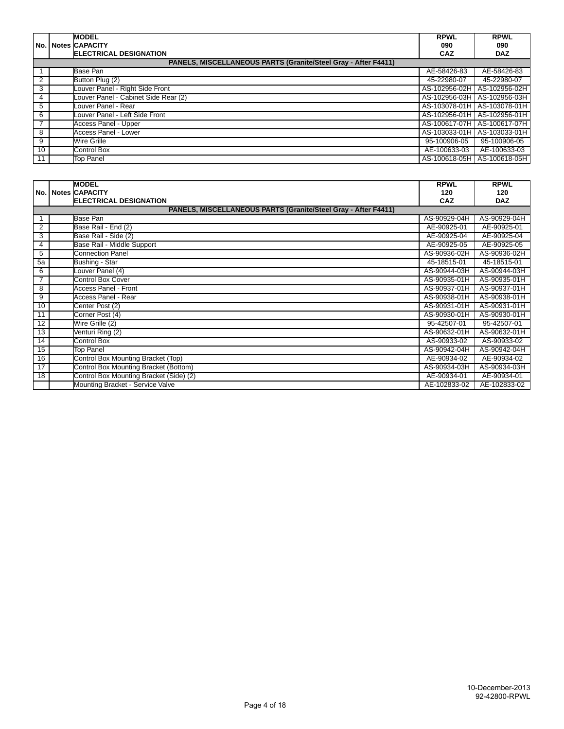|                 | <b>MODEL</b>                                                          | <b>RPWL</b>  | <b>RPWL</b>                   |
|-----------------|-----------------------------------------------------------------------|--------------|-------------------------------|
|                 | No.   Notes  CAPACITY                                                 | 090          | 090                           |
|                 | <b>ELECTRICAL DESIGNATION</b>                                         | <b>CAZ</b>   | <b>DAZ</b>                    |
|                 | <b>PANELS, MISCELLANEOUS PARTS (Granite/Steel Gray - After F4411)</b> |              |                               |
|                 | Base Pan                                                              | AE-58426-83  | AE-58426-83                   |
| 2               | Button Plug (2)                                                       | 45-22980-07  | 45-22980-07                   |
| 3               | Louver Panel - Right Side Front                                       |              | AS-102956-02H   AS-102956-02H |
| 4               | Louver Panel - Cabinet Side Rear (2)                                  |              | AS-102956-03H   AS-102956-03H |
| 5               | Louver Panel - Rear                                                   |              | AS-103078-01H AS-103078-01H   |
| 6               | Louver Panel - Left Side Front                                        |              | AS-102956-01H   AS-102956-01H |
| $\overline{7}$  | <b>Access Panel - Upper</b>                                           |              | AS-100617-07H AS-100617-07H   |
| 8               | Access Panel - Lower                                                  |              | AS-103033-01H   AS-103033-01H |
| 9               | Wire Grille                                                           | 95-100906-05 | 95-100906-05                  |
| 10 <sup>°</sup> | Control Box                                                           | AE-100633-03 | AE-100633-03                  |
| 11              | <b>Top Panel</b>                                                      |              | AS-100618-05H   AS-100618-05H |

|                 | <b>MODEL</b>                                                   | <b>RPWL</b>  | <b>RPWL</b>  |
|-----------------|----------------------------------------------------------------|--------------|--------------|
|                 | No.   Notes CAPACITY                                           | 120          | 120          |
|                 | <b>ELECTRICAL DESIGNATION</b>                                  | CAZ          | <b>DAZ</b>   |
|                 | PANELS, MISCELLANEOUS PARTS (Granite/Steel Gray - After F4411) |              |              |
|                 | Base Pan                                                       | AS-90929-04H | AS-90929-04H |
| 2               | Base Rail - End (2)                                            | AE-90925-01  | AE-90925-01  |
| 3               | Base Rail - Side (2)                                           | AE-90925-04  | AE-90925-04  |
| 4               | Base Rail - Middle Support                                     | AE-90925-05  | AE-90925-05  |
| 5               | <b>Connection Panel</b>                                        | AS-90936-02H | AS-90936-02H |
| 5a              | Bushing - Star                                                 | 45-18515-01  | 45-18515-01  |
| 6               | Louver Panel (4)                                               | AS-90944-03H | AS-90944-03H |
|                 | <b>Control Box Cover</b>                                       | AS-90935-01H | AS-90935-01H |
| 8               | <b>Access Panel - Front</b>                                    | AS-90937-01H | AS-90937-01H |
| 9               | Access Panel - Rear                                            | AS-90938-01H | AS-90938-01H |
| 10              | Center Post (2)                                                | AS-90931-01H | AS-90931-01H |
| 11              | Corner Post (4)                                                | AS-90930-01H | AS-90930-01H |
| 12              | Wire Grille (2)                                                | 95-42507-01  | 95-42507-01  |
| 13              | Venturi Ring (2)                                               | AS-90632-01H | AS-90632-01H |
| 14              | Control Box                                                    | AS-90933-02  | AS-90933-02  |
| 15              | <b>Top Panel</b>                                               | AS-90942-04H | AS-90942-04H |
| 16              | Control Box Mounting Bracket (Top)                             | AE-90934-02  | AE-90934-02  |
| $\overline{17}$ | Control Box Mounting Bracket (Bottom)                          | AS-90934-03H | AS-90934-03H |
| $\overline{18}$ | Control Box Mounting Bracket (Side) (2)                        | AE-90934-01  | AE-90934-01  |
|                 | Mounting Bracket - Service Valve                               | AE-102833-02 | AE-102833-02 |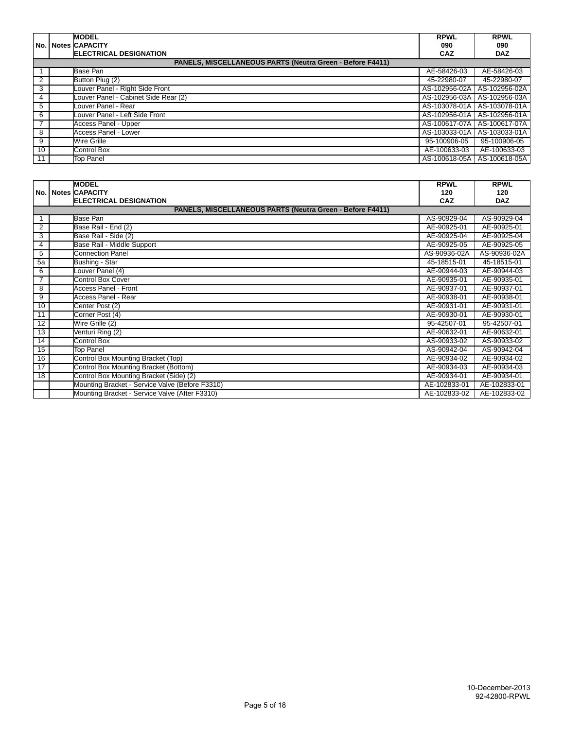|                | <b>MODEL</b>                                                     | <b>RPWL</b>   | <b>RPWL</b>                   |
|----------------|------------------------------------------------------------------|---------------|-------------------------------|
|                | <b>No. Notes CAPACITY</b>                                        | 090           | 090                           |
|                | <b>ELECTRICAL DESIGNATION</b>                                    | <b>CAZ</b>    | <b>DAZ</b>                    |
|                | <b>PANELS, MISCELLANEOUS PARTS (Neutra Green - Before F4411)</b> |               |                               |
|                | Base Pan                                                         | AE-58426-03   | AE-58426-03                   |
| $\overline{2}$ | Button Plug (2)                                                  | 45-22980-07   | 45-22980-07                   |
| 3              | Louver Panel - Right Side Front                                  | AS-102956-02A | AS-102956-02A                 |
| 4              | Louver Panel - Cabinet Side Rear (2)                             |               | AS-102956-03A   AS-102956-03A |
| 5              | Louver Panel - Rear                                              |               | AS-103078-01A   AS-103078-01A |
| 6              | Louver Panel - Left Side Front                                   |               | AS-102956-01A   AS-102956-01A |
| $\overline{7}$ | <b>Access Panel - Upper</b>                                      |               | AS-100617-07A   AS-100617-07A |
| 8              | Access Panel - Lower                                             |               | AS-103033-01A   AS-103033-01A |
| 9              | Wire Grille                                                      | 95-100906-05  | 95-100906-05                  |
| 10             | <b>Control Box</b>                                               | AE-100633-03  | AE-100633-03                  |
| 11             | Top Panel                                                        |               | AS-100618-05A   AS-100618-05A |

|                | <b>MODEL</b>                                              | <b>RPWL</b>  | <b>RPWL</b>  |
|----------------|-----------------------------------------------------------|--------------|--------------|
|                | No.   Notes CAPACITY                                      | 120          | 120          |
|                | <b>ELECTRICAL DESIGNATION</b>                             | CAZ          | <b>DAZ</b>   |
|                | PANELS, MISCELLANEOUS PARTS (Neutra Green - Before F4411) |              |              |
| 1              | Base Pan                                                  | AS-90929-04  | AS-90929-04  |
| $\overline{2}$ | Base Rail - End (2)                                       | AE-90925-01  | AE-90925-01  |
| 3              | Base Rail - Side (2)                                      | AE-90925-04  | AE-90925-04  |
| 4              | Base Rail - Middle Support                                | AE-90925-05  | AE-90925-05  |
| 5              | <b>Connection Panel</b>                                   | AS-90936-02A | AS-90936-02A |
| 5a             | Bushing - Star                                            | 45-18515-01  | 45-18515-01  |
| 6              | Louver Panel (4)                                          | AE-90944-03  | AE-90944-03  |
| 7              | <b>Control Box Cover</b>                                  | AE-90935-01  | AE-90935-01  |
| 8              | <b>Access Panel - Front</b>                               | AE-90937-01  | AE-90937-01  |
| 9              | Access Panel - Rear                                       | AE-90938-01  | AE-90938-01  |
| 10             | Center Post (2)                                           | AE-90931-01  | AE-90931-01  |
| 11             | Corner Post (4)                                           | AE-90930-01  | AE-90930-01  |
| 12             | Wire Grille (2)                                           | 95-42507-01  | 95-42507-01  |
| 13             | Venturi Ring (2)                                          | AE-90632-01  | AE-90632-01  |
| 14             | Control Box                                               | AS-90933-02  | AS-90933-02  |
| 15             | <b>Top Panel</b>                                          | AS-90942-04  | AS-90942-04  |
| 16             | Control Box Mounting Bracket (Top)                        | AE-90934-02  | AE-90934-02  |
| 17             | Control Box Mounting Bracket (Bottom)                     | AE-90934-03  | AE-90934-03  |
| 18             | Control Box Mounting Bracket (Side) (2)                   | AE-90934-01  | AE-90934-01  |
|                | Mounting Bracket - Service Valve (Before F3310)           | AE-102833-01 | AE-102833-01 |
|                | Mounting Bracket - Service Valve (After F3310)            | AE-102833-02 | AE-102833-02 |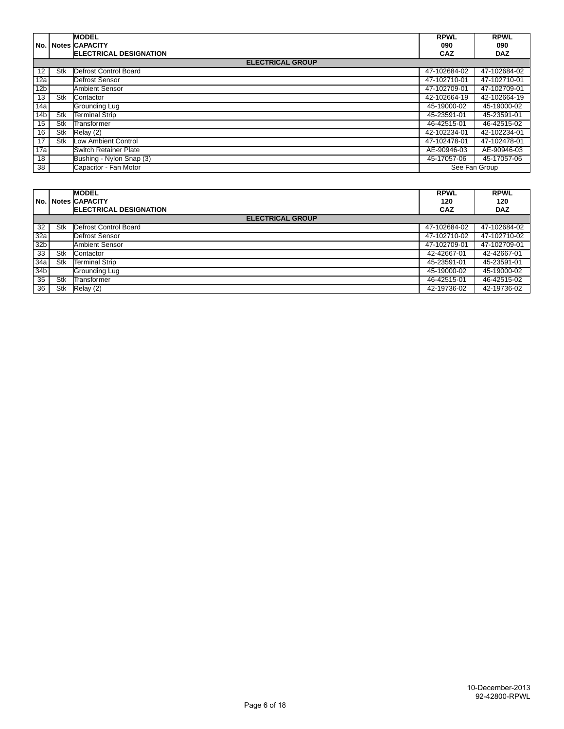|                   |     | <b>MODEL</b>                  | <b>RPWL</b>   | <b>RPWL</b>  |
|-------------------|-----|-------------------------------|---------------|--------------|
|                   |     | <b>No. Notes CAPACITY</b>     | 090           | 090          |
|                   |     | <b>ELECTRICAL DESIGNATION</b> | CAZ           | <b>DAZ</b>   |
|                   |     | <b>ELECTRICAL GROUP</b>       |               |              |
| $12 \overline{ }$ | Stk | Defrost Control Board         | 47-102684-02  | 47-102684-02 |
| 12a               |     | Defrost Sensor                | 47-102710-01  | 47-102710-01 |
| 12 <sub>b</sub>   |     | <b>Ambient Sensor</b>         | 47-102709-01  | 47-102709-01 |
| 13                | Stk | Contactor                     | 42-102664-19  | 42-102664-19 |
| 14a               |     | Grounding Lug                 | 45-19000-02   | 45-19000-02  |
| 14 <sub>b</sub>   | Stk | <b>Terminal Strip</b>         | 45-23591-01   | 45-23591-01  |
| 15                | Stk | Transformer                   | 46-42515-01   | 46-42515-02  |
| 16                | Stk | Relay (2)                     | 42-102234-01  | 42-102234-01 |
| 17                | Stk | Low Ambient Control           | 47-102478-01  | 47-102478-01 |
| 17a               |     | <b>Switch Retainer Plate</b>  | AE-90946-03   | AE-90946-03  |
| 18                |     | Bushing - Nylon Snap (3)      | 45-17057-06   | 45-17057-06  |
| 38                |     | Capacitor - Fan Motor         | See Fan Group |              |

|                 |     | <b>MODEL</b>                  | <b>RPWL</b>  | <b>RPWL</b>  |
|-----------------|-----|-------------------------------|--------------|--------------|
| No.             |     | <b>Notes CAPACITY</b>         | 120          | 120          |
|                 |     | <b>ELECTRICAL DESIGNATION</b> | <b>CAZ</b>   | <b>DAZ</b>   |
|                 |     | <b>ELECTRICAL GROUP</b>       |              |              |
| 32              | Stk | Defrost Control Board         | 47-102684-02 | 47-102684-02 |
| 32a             |     | Defrost Sensor                | 47-102710-02 | 47-102710-02 |
| 32 <sub>b</sub> |     | <b>Ambient Sensor</b>         | 47-102709-01 | 47-102709-01 |
| 33              | Stk | Contactor                     | 42-42667-01  | 42-42667-01  |
| 34a             | Stk | <b>Terminal Strip</b>         | 45-23591-01  | 45-23591-01  |
| 34 <sub>b</sub> |     | Grounding Lug                 | 45-19000-02  | 45-19000-02  |
| 35              | Stk | Transformer                   | 46-42515-01  | 46-42515-02  |
| 36              | Stk | Relay (2)                     | 42-19736-02  | 42-19736-02  |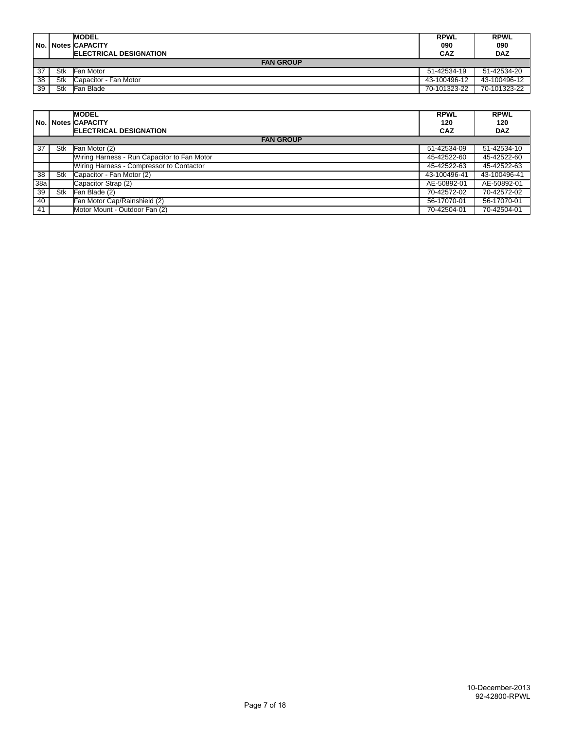|    |     | <b>MODEL</b><br>No. Notes CAPACITY<br><b>IELECTRICAL DESIGNATION</b> | <b>RPWL</b><br>090<br><b>CAZ</b> | <b>RPWL</b><br>090<br><b>DAZ</b> |
|----|-----|----------------------------------------------------------------------|----------------------------------|----------------------------------|
|    |     | <b>FAN GROUP</b>                                                     |                                  |                                  |
| 37 | Stk | Fan Motor                                                            | 51-42534-19                      | 51-42534-20                      |
| 38 | Stk | Capacitor - Fan Motor                                                | 43-100496-12                     | 43-100496-12                     |
| 39 | Stk | Fan Blade                                                            | 70-101323-22                     | 70-101323-22                     |

|     |     | <b>MODEL</b><br><b>No. Notes CAPACITY</b>   | <b>RPWL</b><br>120 | <b>RPWL</b><br>120 |
|-----|-----|---------------------------------------------|--------------------|--------------------|
|     |     | <b>ELECTRICAL DESIGNATION</b>               | <b>CAZ</b>         | <b>DAZ</b>         |
|     |     | <b>FAN GROUP</b>                            |                    |                    |
| 37  | Stk | Fan Motor (2)                               | 51-42534-09        | 51-42534-10        |
|     |     | Wiring Harness - Run Capacitor to Fan Motor | 45-42522-60        | 45-42522-60        |
|     |     | Wiring Harness - Compressor to Contactor    | 45-42522-63        | 45-42522-63        |
| 38  | Stk | Capacitor - Fan Motor (2)                   | 43-100496-41       | 43-100496-41       |
| 38a |     | Capacitor Strap (2)                         | AE-50892-01        | AE-50892-01        |
| 39  | Stk | Fan Blade (2)                               | 70-42572-02        | 70-42572-02        |
| 40  |     | Fan Motor Cap/Rainshield (2)                | 56-17070-01        | 56-17070-01        |
| 41  |     | Motor Mount - Outdoor Fan (2)               | 70-42504-01        | 70-42504-01        |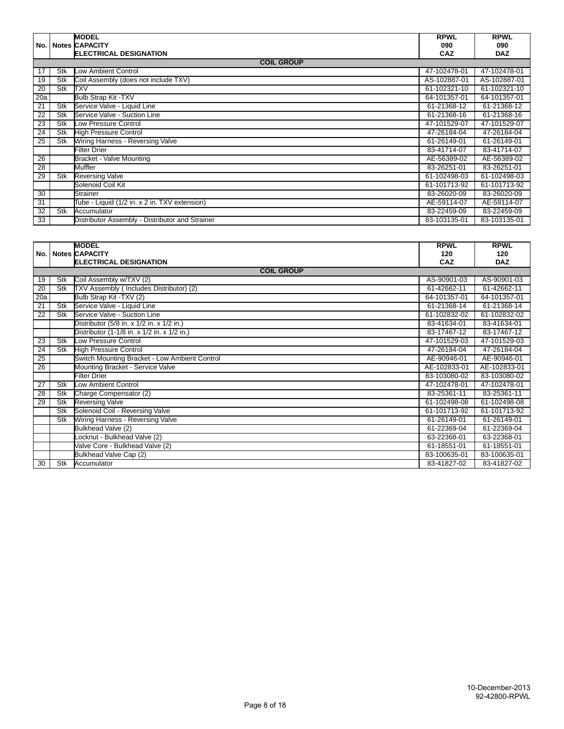|                 |     | <b>MODEL</b>                                    | <b>RPWL</b>  | <b>RPWL</b>  |
|-----------------|-----|-------------------------------------------------|--------------|--------------|
| No.             |     | <b>Notes CAPACITY</b>                           | 090          | 090          |
|                 |     | <b>ELECTRICAL DESIGNATION</b>                   | CAZ          | <b>DAZ</b>   |
|                 |     | <b>COIL GROUP</b>                               |              |              |
| 17              | Stk | Low Ambient Control                             | 47-102478-01 | 47-102478-01 |
| 19              | Stk | Coil Assembly (does not include TXV)            | AS-102887-01 | AS-102887-01 |
| 20              | Stk | <b>TXV</b>                                      | 61-102321-10 | 61-102321-10 |
| 20a             |     | <b>Bulb Strap Kit -TXV</b>                      | 64-101357-01 | 64-101357-01 |
| 21              | Stk | Service Valve - Liquid Line                     | 61-21368-12  | 61-21368-12  |
| 22              | Stk | Service Valve - Suction Line                    | 61-21368-16  | 61-21368-16  |
| 23              | Stk | Low Pressure Control                            | 47-101529-07 | 47-101529-07 |
| 24              | Stk | <b>High Pressure Control</b>                    | 47-26184-04  | 47-26184-04  |
| 25              | Stk | Wiring Harness - Reversing Valve                | 61-26149-01  | 61-26149-01  |
|                 |     | <b>Filter Drier</b>                             | 83-41714-07  | 83-41714-07  |
| $\overline{26}$ |     | Bracket - Valve Mounting                        | AE-56389-02  | AE-56389-02  |
| 28              |     | Muffler                                         | 83-26251-01  | 83-26251-01  |
| 29              | Stk | <b>Reversing Valve</b>                          | 61-102498-03 | 61-102498-03 |
|                 |     | Solenoid Coil Kit                               | 61-101713-92 | 61-101713-92 |
| 30              |     | <b>Strainer</b>                                 | 83-26020-09  | 83-26020-09  |
| $\overline{31}$ |     | Tube - Liquid (1/2 in. x 2 in. TXV extension)   | AE-59114-07  | AE-59114-07  |
| 32              | Stk | Accumulator                                     | 83-22459-09  | 83-22459-09  |
| 33              |     | Distributor Assembly - Distributor and Strainer | 83-103135-01 | 83-103135-01 |

|                 |     | <b>MODEL</b>                                  | <b>RPWL</b>  | <b>RPWL</b>  |
|-----------------|-----|-----------------------------------------------|--------------|--------------|
|                 |     | No. Notes CAPACITY                            | 120          | 120          |
|                 |     | <b>ELECTRICAL DESIGNATION</b>                 | <b>CAZ</b>   | <b>DAZ</b>   |
|                 |     | <b>COIL GROUP</b>                             |              |              |
| 19              | Stk | Coil Assembly w/TXV (2)                       | AS-90901-03  | AS-90901-03  |
| 20              | Stk | TXV Assembly ( Includes Distributor) (2)      | 61-42662-11  | 61-42662-11  |
| 20a             |     | Bulb Strap Kit - TXV (2)                      | 64-101357-01 | 64-101357-01 |
| 21              | Stk | Service Valve - Liquid Line                   | 61-21368-14  | 61-21368-14  |
| 22              | Stk | Service Valve - Suction Line                  | 61-102832-02 | 61-102832-02 |
|                 |     | Distributor (5/8 in. x 1/2 in. x 1/2 in.)     | 83-41634-01  | 83-41634-01  |
|                 |     | Distributor (1-1/8 in. x 1/2 in. x 1/2 in.)   | 83-17467-12  | 83-17467-12  |
| 23              | Stk | Low Pressure Control                          | 47-101529-03 | 47-101529-03 |
| 24              | Stk | <b>High Pressure Control</b>                  | 47-26184-04  | 47-26184-04  |
| $\overline{25}$ |     | Switch Mounting Bracket - Low Ambient Control | AE-90946-01  | AE-90946-01  |
| $\overline{26}$ |     | Mounting Bracket - Service Valve              | AE-102833-01 | AE-102833-01 |
|                 |     | <b>Filter Drier</b>                           | 83-103080-02 | 83-103080-02 |
| 27              | Stk | Low Ambient Control                           | 47-102478-01 | 47-102478-01 |
| 28              | Stk | Charge Compensator (2)                        | 83-25361-11  | 83-25361-11  |
| 29              | Stk | <b>Reversing Valve</b>                        | 61-102498-08 | 61-102498-08 |
|                 | Stk | Solenoid Coil - Reversing Valve               | 61-101713-92 | 61-101713-92 |
|                 | Stk | Wiring Harness - Reversing Valve              | 61-26149-01  | 61-26149-01  |
|                 |     | Bulkhead Valve (2)                            | 61-22369-04  | 61-22369-04  |
|                 |     | Locknut - Bulkhead Valve (2)                  | 63-22368-01  | 63-22368-01  |
|                 |     | Valve Core - Bulkhead Valve (2)               | 61-18551-01  | 61-18551-01  |
|                 |     | <b>Bulkhead Valve Cap (2)</b>                 | 83-100635-01 | 83-100635-01 |
| 30              | Stk | Accumulator                                   | 83-41827-02  | 83-41827-02  |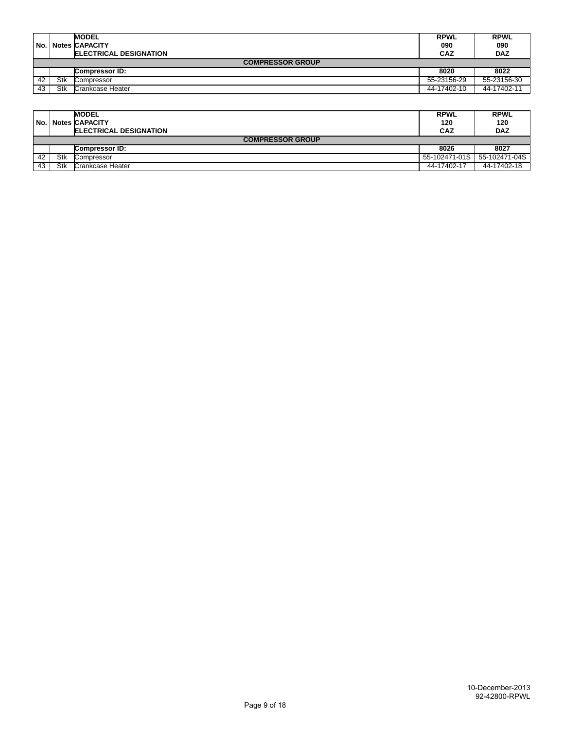| l No. l |                         | <b>MODEL</b>                  | <b>RPWL</b> | <b>RPWL</b> |  |  |  |
|---------|-------------------------|-------------------------------|-------------|-------------|--|--|--|
|         |                         | <b>Notes CAPACITY</b>         | 090         | 090         |  |  |  |
|         |                         | <b>ELECTRICAL DESIGNATION</b> | <b>CAZ</b>  | <b>DAZ</b>  |  |  |  |
|         | <b>COMPRESSOR GROUP</b> |                               |             |             |  |  |  |
|         |                         | <b>Compressor ID:</b>         | 8020        | 8022        |  |  |  |
| 42      | Stk                     | Compressor                    | 55-23156-29 | 55-23156-30 |  |  |  |
| 43      | Stk                     | Crankcase Heater              | 44-17402-10 | 44-17402-11 |  |  |  |

|    |                         | <b>MODEL</b>                   | <b>RPWL</b>   | <b>RPWL</b>   |  |  |  |
|----|-------------------------|--------------------------------|---------------|---------------|--|--|--|
|    |                         | No. Notes CAPACITY             | 120           | 120           |  |  |  |
|    |                         | <b>IELECTRICAL DESIGNATION</b> | <b>CAZ</b>    | <b>DAZ</b>    |  |  |  |
|    | <b>COMPRESSOR GROUP</b> |                                |               |               |  |  |  |
|    |                         | Compressor ID:                 | 8026          | 8027          |  |  |  |
| 42 | Stk                     | Compressor                     | 55-102471-01S | 55-102471-04S |  |  |  |
| 43 | Stk                     | Crankcase Heater               | 44-17402-17   | 44-17402-18   |  |  |  |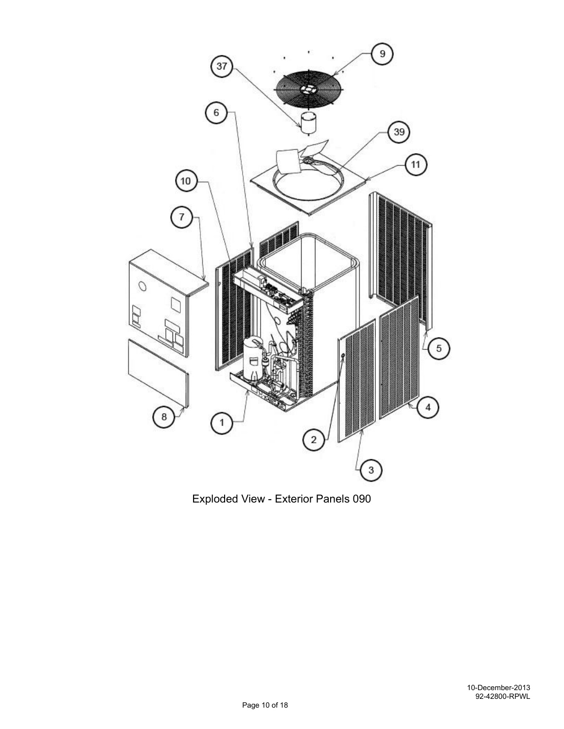

Exploded View - Exterior Panels 090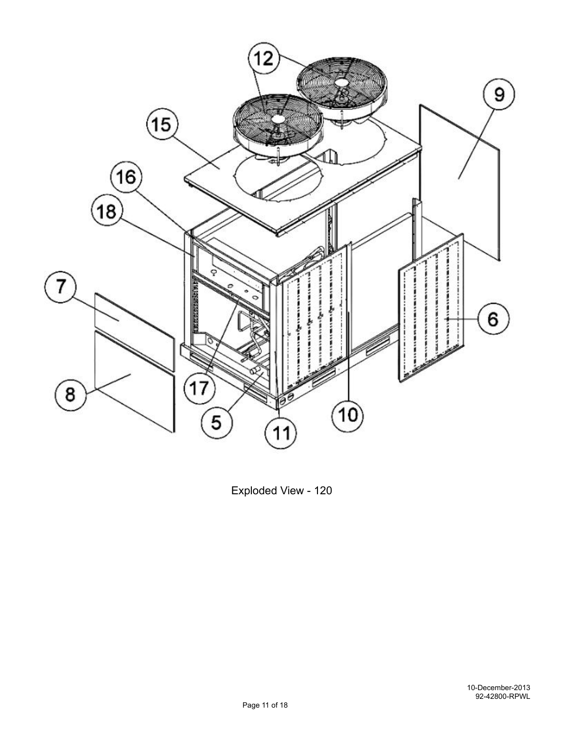

Exploded View - 120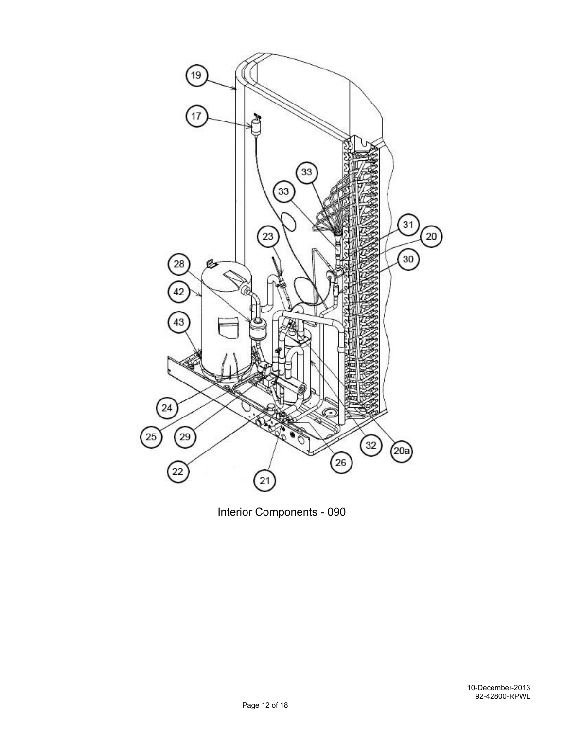

Interior Components - 090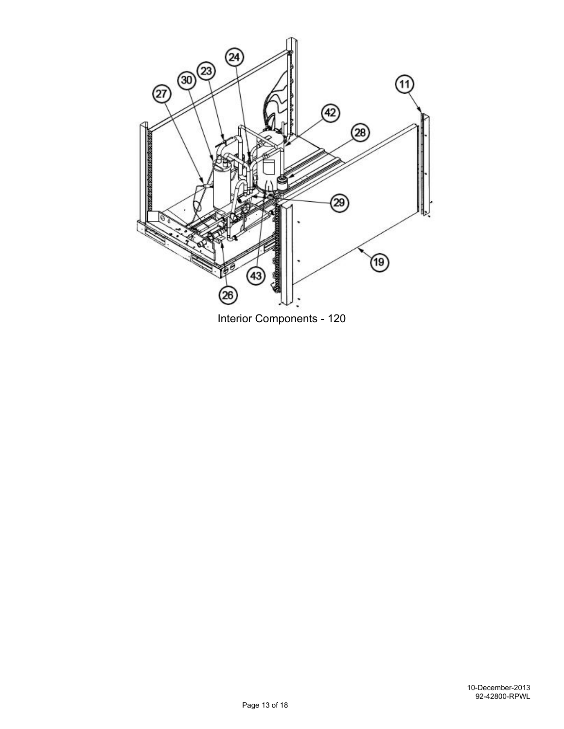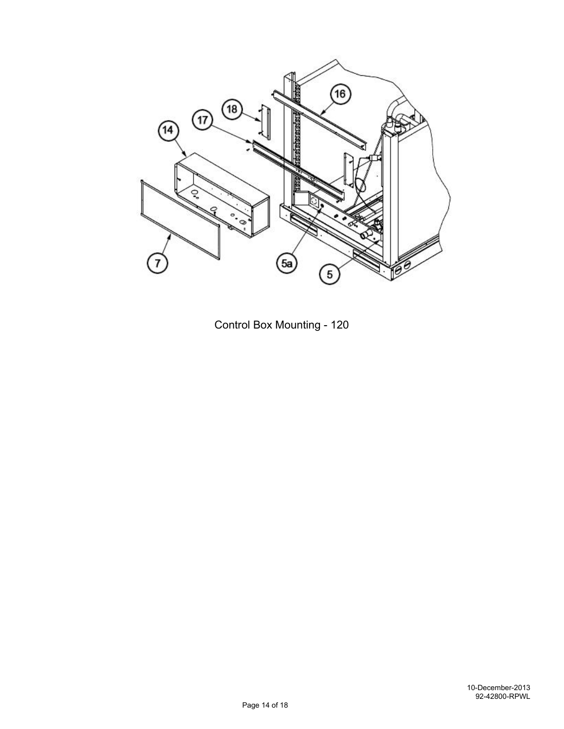

Control Box Mounting - 120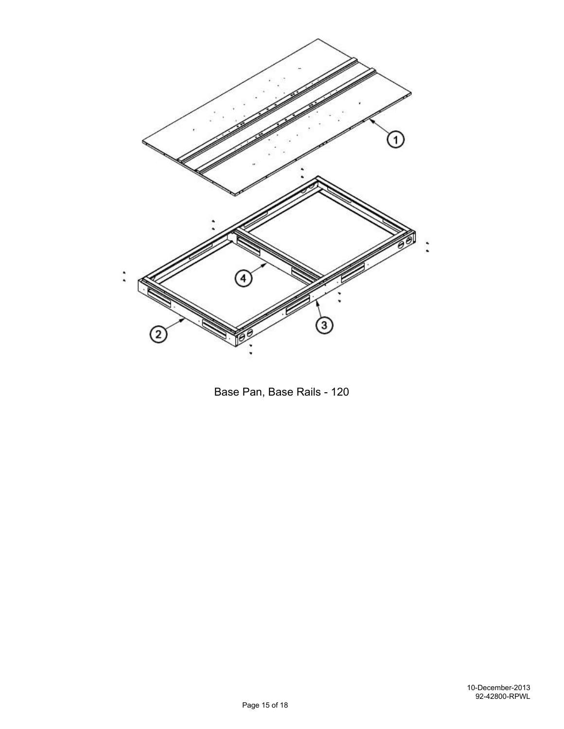

Base Pan, Base Rails - 120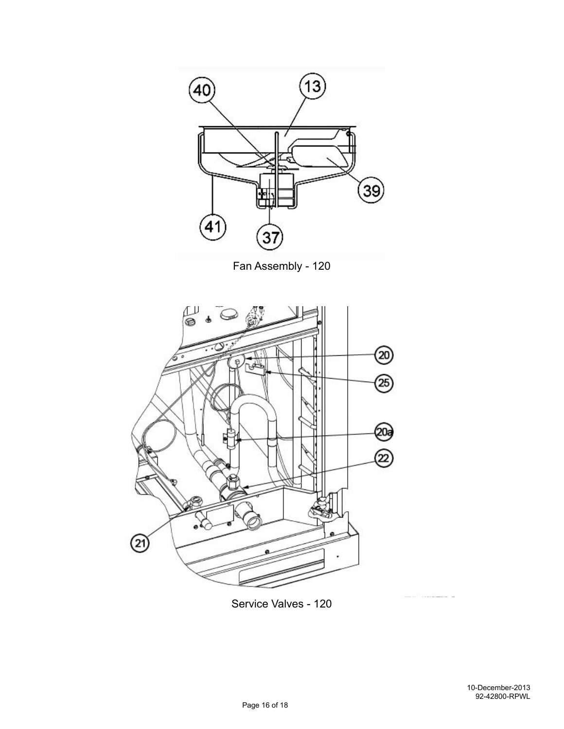

Fan Assembly - 120



Service Valves - 120

 $1.11$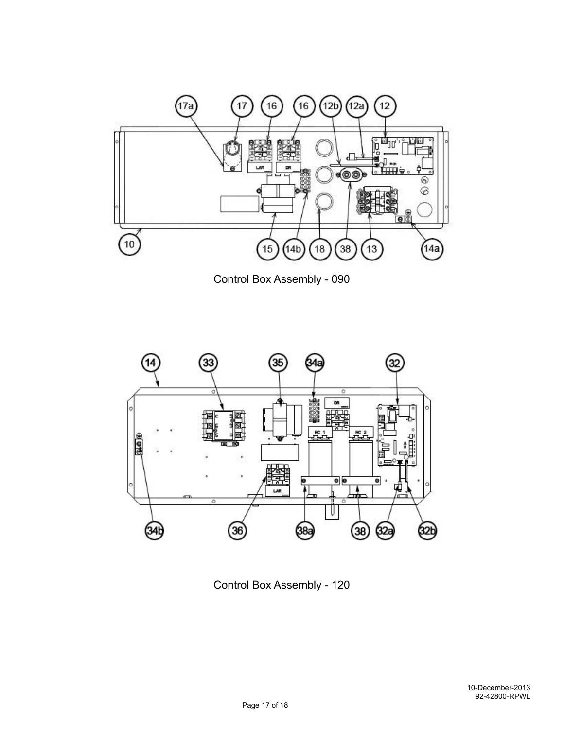

Control Box Assembly - 090



Control Box Assembly - 120